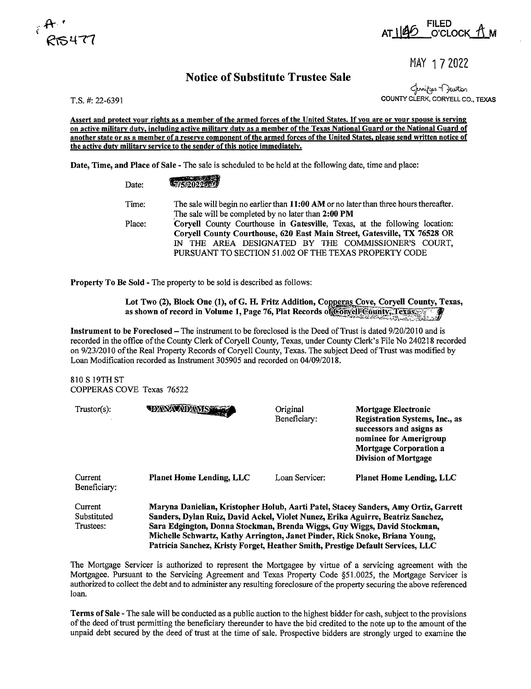



MAY 1 7 2022

## **Notice of Substitute Trustee Sale**

لرمنڈان - Charlen<br>COUNTY CLERK, CORYELL CO., TEXAS

T.S. #: 22-6391

**Assert and protect your rights as a member of the armed forces of the United States.** If **you are or your spouse is serving on active military duty, including active military duty as a member of the Texas National Guard or the National Guard of another state or as a member of a reserve component of the armed forces of the United States, please send written notice of the active duty military service to the sender of this notice immediately.** ·

**Date, Time, and Place of Sale** - The sale is scheduled to be held at the following date, time and place:

| Date:  | <b>MIEISOS</b>                                                                        |  |  |
|--------|---------------------------------------------------------------------------------------|--|--|
| Time:  | The sale will begin no earlier than 11:00 AM or no later than three hours thereafter. |  |  |
|        | The sale will be completed by no later than 2:00 PM                                   |  |  |
| Place: | Corvell County Courthouse in Gatesville, Texas, at the following location:            |  |  |
|        | Coryell County Courthouse, 620 East Main Street, Gatesville, TX 76528 OR              |  |  |
|        | IN THE AREA DESIGNATED BY THE COMMISSIONER'S COURT,                                   |  |  |
|        | PURSUANT TO SECTION 51.002 OF THE TEXAS PROPERTY CODE                                 |  |  |

**Property To Be Sold** - The property to be sold is described as follows:

Lot Two (2), Block One (1), of G. H. Fritz Addition, Copperas Cove, Coryell County, Texas, as shown of record in Volume 1, Page 76, Plat Records of **Coryell County, Texas** 

**Instrument to be Foreclosed-The** instrument to be foreclosed is the Deed of Trust is dated 9/20/2010 and is recorded in the office of the County Clerk of Coryell County, Texas, under County Clerk's File No 240218 recorded on 9/23/2010 of the Real Property Records of Coryell County, Texas. The subject Deed of Trust was modified by Loan Modification recorded as Instrument 305905 and recorded on 04/09/2018.

810 S 19TH ST COPPERAS COVE Texas 76522

| $Trustor(s)$ :                      | <b>DANA ADAMS</b>                                                                                                                                                                                                                                                                                                                                                                                                   | Original<br>Beneficiary: | Mortgage Electronic<br>Registration Systems, Inc., as<br>successors and asigns as<br>nominee for Amerigroup<br><b>Mortgage Corporation a</b><br><b>Division of Mortgage</b> |  |
|-------------------------------------|---------------------------------------------------------------------------------------------------------------------------------------------------------------------------------------------------------------------------------------------------------------------------------------------------------------------------------------------------------------------------------------------------------------------|--------------------------|-----------------------------------------------------------------------------------------------------------------------------------------------------------------------------|--|
| Current<br>Beneficiary:             | <b>Planet Home Lending, LLC</b>                                                                                                                                                                                                                                                                                                                                                                                     | Loan Servicer:           | <b>Planet Home Lending, LLC</b>                                                                                                                                             |  |
| Current<br>Substituted<br>Trustees: | Maryna Danielian, Kristopher Holub, Aarti Patel, Stacey Sanders, Amy Ortiz, Garrett<br>Sanders, Dylan Ruiz, David Ackel, Violet Nunez, Erika Aguirre, Beatriz Sanchez,<br>Sara Edgington, Donna Stockman, Brenda Wiggs, Guy Wiggs, David Stockman,<br>Michelle Schwartz, Kathy Arrington, Janet Pinder, Rick Snoke, Briana Young,<br>Patricia Sanchez, Kristy Forget, Heather Smith, Prestige Default Services, LLC |                          |                                                                                                                                                                             |  |

The Mortgage Servicer is authorized to represent the Mortgagee by virtue of a servicing agreement with the Mortgagee. Pursuant to the Servicing Agreement and Texas Property Code §51.0025, the Mortgage Servicer is authorized to collect the debt and to administer any resulting foreclosure of the property securing the above referenced loan.

**Terms of Sale** - The sale will be conducted as a public auction to the highest bidder for cash, subject to the provisions of the deed of trust pennitting the beneficiary thereunder to have the bid credited to the note up to the amount of the unpaid debt secured by the deed of trust at the time of sale. Prospective bidders are strongly urged to examine the